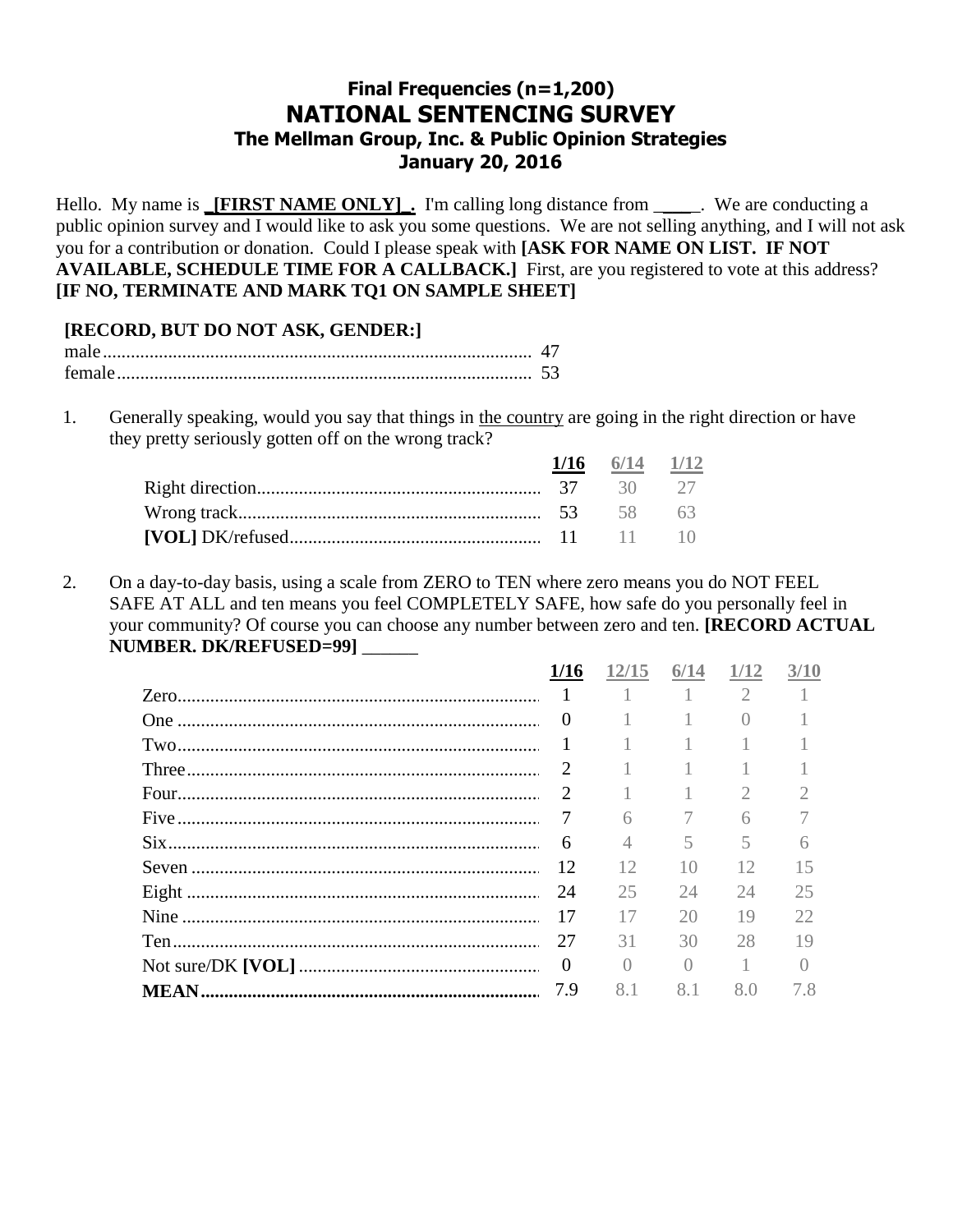# **Final Frequencies (n=1,200) NATIONAL SENTENCING SURVEY The Mellman Group, Inc. & Public Opinion Strategies January 20, 2016**

Hello. My name is **\_[FIRST NAME ONLY]**. I'm calling long distance from \_\_\_\_\_. We are conducting a public opinion survey and I would like to ask you some questions. We are not selling anything, and I will not ask you for a contribution or donation. Could I please speak with **[ASK FOR NAME ON LIST. IF NOT AVAILABLE, SCHEDULE TIME FOR A CALLBACK.]** First, are you registered to vote at this address? **[IF NO, TERMINATE AND MARK TQ1 ON SAMPLE SHEET]**

# **[RECORD, BUT DO NOT ASK, GENDER:]**

| female |  |
|--------|--|

1. Generally speaking, would you say that things in the country are going in the right direction or have they pretty seriously gotten off on the wrong track?

|  | $\frac{1}{16}$ $\frac{6}{14}$ $\frac{1}{12}$ |  |
|--|----------------------------------------------|--|
|  |                                              |  |
|  |                                              |  |
|  |                                              |  |

2. On a day-to-day basis, using a scale from ZERO to TEN where zero means you do NOT FEEL SAFE AT ALL and ten means you feel COMPLETELY SAFE, how safe do you personally feel in your community? Of course you can choose any number between zero and ten. **[RECORD ACTUAL NUMBER. DK/REFUSED=99]** \_\_\_\_\_\_

| 1/16                        | 12/15     | 6/14      | 1/12                        | 3/10      |
|-----------------------------|-----------|-----------|-----------------------------|-----------|
|                             | $\sim$ 1  | $-1$      | $\mathcal{D}_{\mathcal{L}}$ |           |
| $\theta$                    | 1         |           | $\bigcap$                   |           |
|                             | 1         |           |                             |           |
| $\mathcal{D}_{\mathcal{L}}$ |           |           |                             |           |
| $\mathcal{D}_{\mathcal{L}}$ |           |           | $\mathfrak{2}$              |           |
| 7                           | 6         |           | 6                           |           |
| 6                           | 4         | 5         | 5                           |           |
| 12                          | 12        | 10        | 12                          | 15        |
| 24                          | 25        | 24        | 24                          | 25        |
| 17                          | 17        | 20        | 19                          | 22.       |
| 27                          | 31        | 30        | 28                          | 19        |
| $\Omega$                    | $\bigcap$ | $\bigcap$ | $\sim$ 1                    | $\bigcap$ |
| 7.9                         | 8.1       | 8.1       | 8.0                         | 7.8       |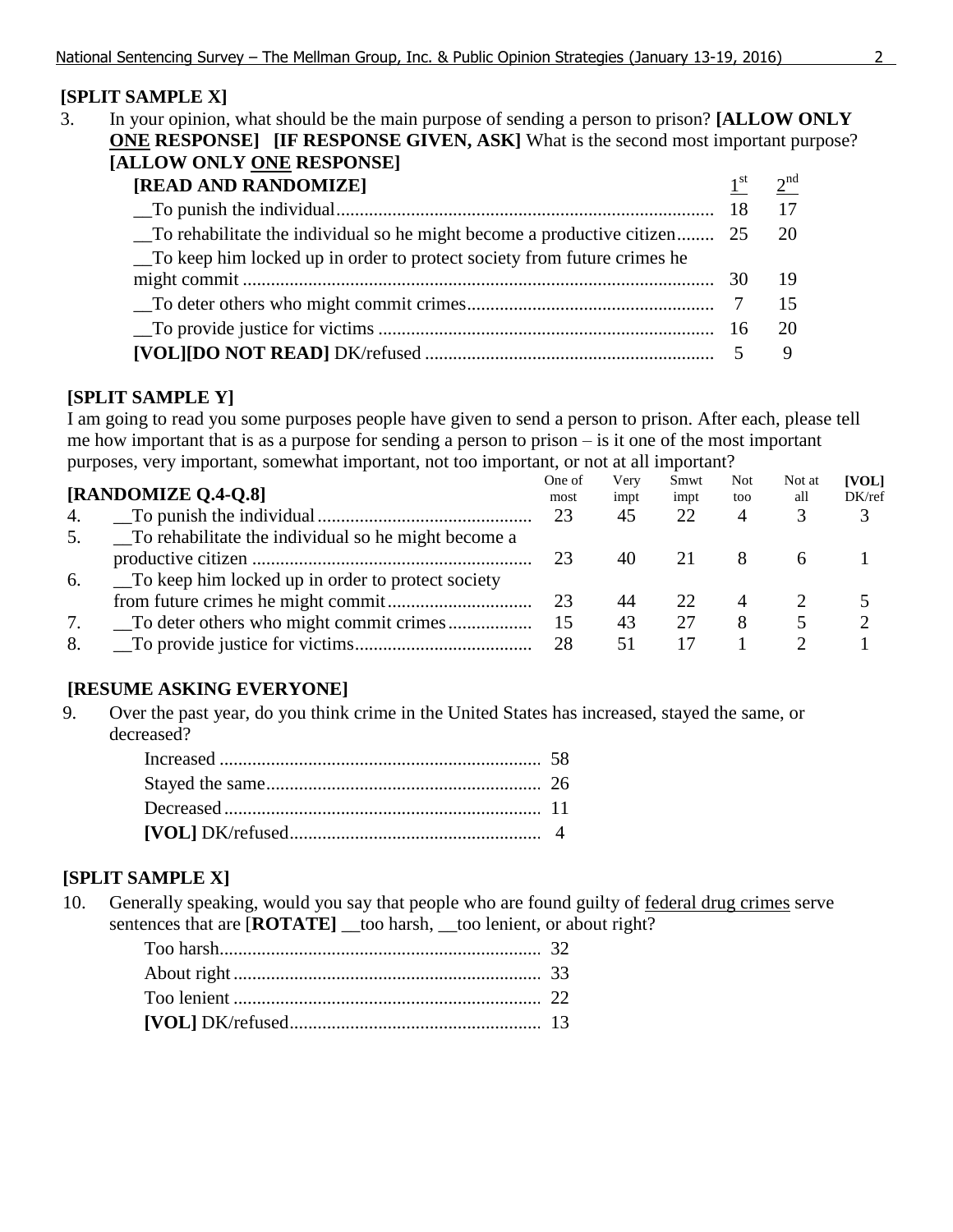# **[SPLIT SAMPLE X]**

3. In your opinion, what should be the main purpose of sending a person to prison? **[ALLOW ONLY ONE RESPONSE]** [IF RESPONSE GIVEN, ASK] What is the second most important purpose? **[ALLOW ONLY ONE RESPONSE]** 

| [READ AND RANDOMIZE]                                                      | $1^{\rm st}$ | 2 <sup>nd</sup> |
|---------------------------------------------------------------------------|--------------|-----------------|
|                                                                           |              |                 |
| To rehabilitate the individual so he might become a productive citizen 25 |              | -20             |
| To keep him locked up in order to protect society from future crimes he   |              |                 |
|                                                                           |              | - 19            |
|                                                                           |              |                 |
|                                                                           |              | 20              |
|                                                                           |              |                 |

## **[SPLIT SAMPLE Y]**

I am going to read you some purposes people have given to send a person to prison. After each, please tell me how important that is as a purpose for sending a person to prison – is it one of the most important purposes, very important, somewhat important, not too important, or not at all important?

|    |                                                     | One of | Very | Smwt | <b>Not</b> | Not at | <b>[VOL]</b> |
|----|-----------------------------------------------------|--------|------|------|------------|--------|--------------|
|    | [RANDOMIZE Q.4-Q.8]                                 | most   | impt | impt | too        | all    | DK/ref       |
| 4. |                                                     | 23     | 45   | 22   | 4          |        |              |
| 5. | To rehabilitate the individual so he might become a |        |      |      |            |        |              |
|    |                                                     | 23     | 40   |      | X          |        |              |
| 6. | To keep him locked up in order to protect society   |        |      |      |            |        |              |
|    |                                                     | 23     | 44   | 22   |            |        |              |
| 7. |                                                     | 15     | 43   | 27   | 8          |        |              |
| 8. |                                                     | 28     |      |      |            |        |              |
|    |                                                     |        |      |      |            |        |              |

# **[RESUME ASKING EVERYONE]**

9. Over the past year, do you think crime in the United States has increased, stayed the same, or decreased?

# **[SPLIT SAMPLE X]**

10. Generally speaking, would you say that people who are found guilty of federal drug crimes serve sentences that are  $[ROTATE]$  \_too harsh, \_too lenient, or about right?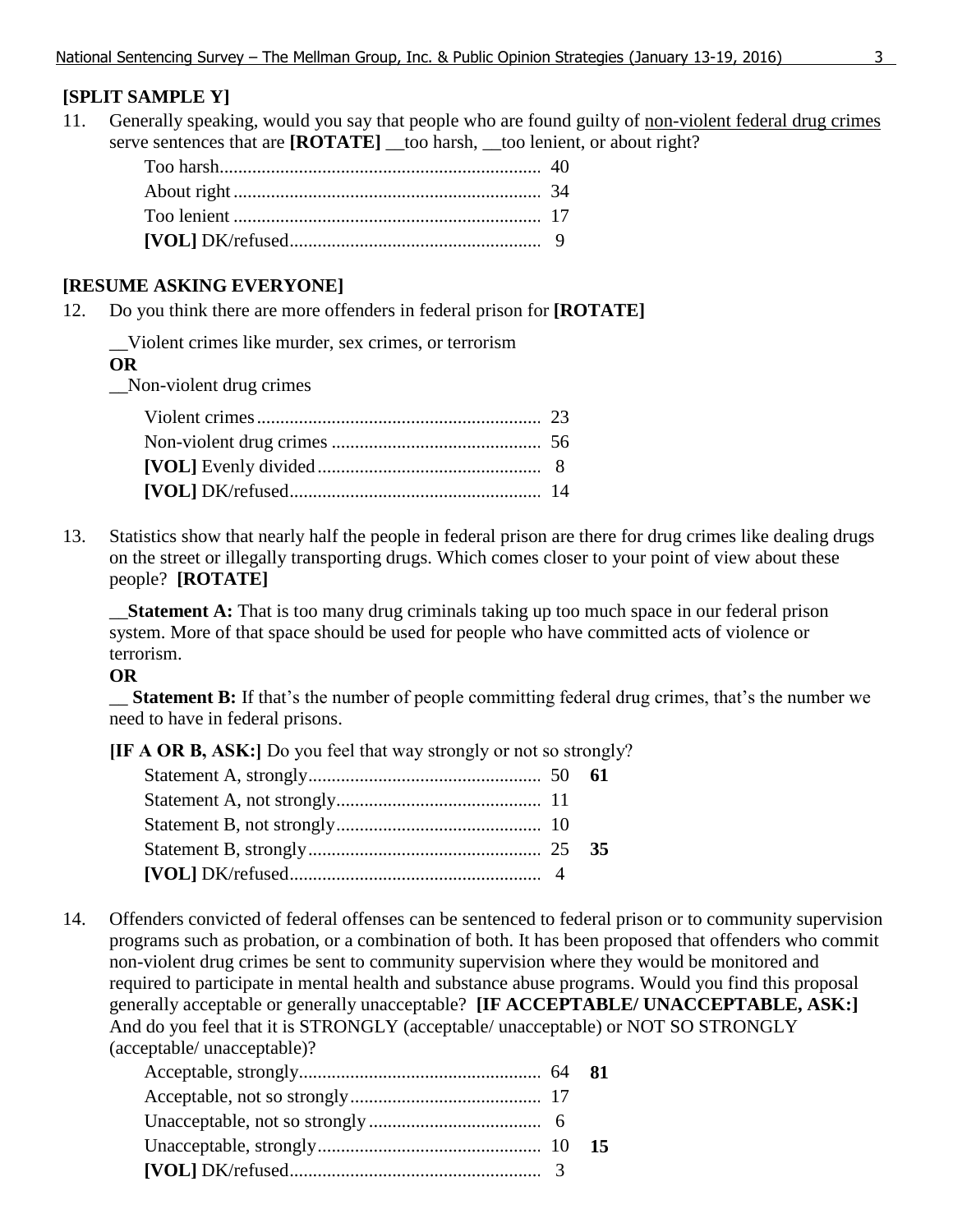# **[SPLIT SAMPLE Y]**

11. Generally speaking, would you say that people who are found guilty of non-violent federal drug crimes serve sentences that are **[ROTATE]** \_\_too harsh, \_\_too lenient, or about right?

## **[RESUME ASKING EVERYONE]**

12. Do you think there are more offenders in federal prison for **[ROTATE]**

\_\_Violent crimes like murder, sex crimes, or terrorism

#### **OR**

\_\_Non-violent drug crimes

13. Statistics show that nearly half the people in federal prison are there for drug crimes like dealing drugs on the street or illegally transporting drugs. Which comes closer to your point of view about these people? **[ROTATE]**

\_\_**Statement A:** That is too many drug criminals taking up too much space in our federal prison system. More of that space should be used for people who have committed acts of violence or terrorism.

#### **OR**

\_\_ **Statement B:** If that's the number of people committing federal drug crimes, that's the number we need to have in federal prisons.

**[IF A OR B, ASK:]** Do you feel that way strongly or not so strongly?

14. Offenders convicted of federal offenses can be sentenced to federal prison or to community supervision programs such as probation, or a combination of both. It has been proposed that offenders who commit non-violent drug crimes be sent to community supervision where they would be monitored and required to participate in mental health and substance abuse programs. Would you find this proposal generally acceptable or generally unacceptable? **[IF ACCEPTABLE/ UNACCEPTABLE, ASK:]**  And do you feel that it is STRONGLY (acceptable/ unacceptable) or NOT SO STRONGLY (acceptable/ unacceptable)?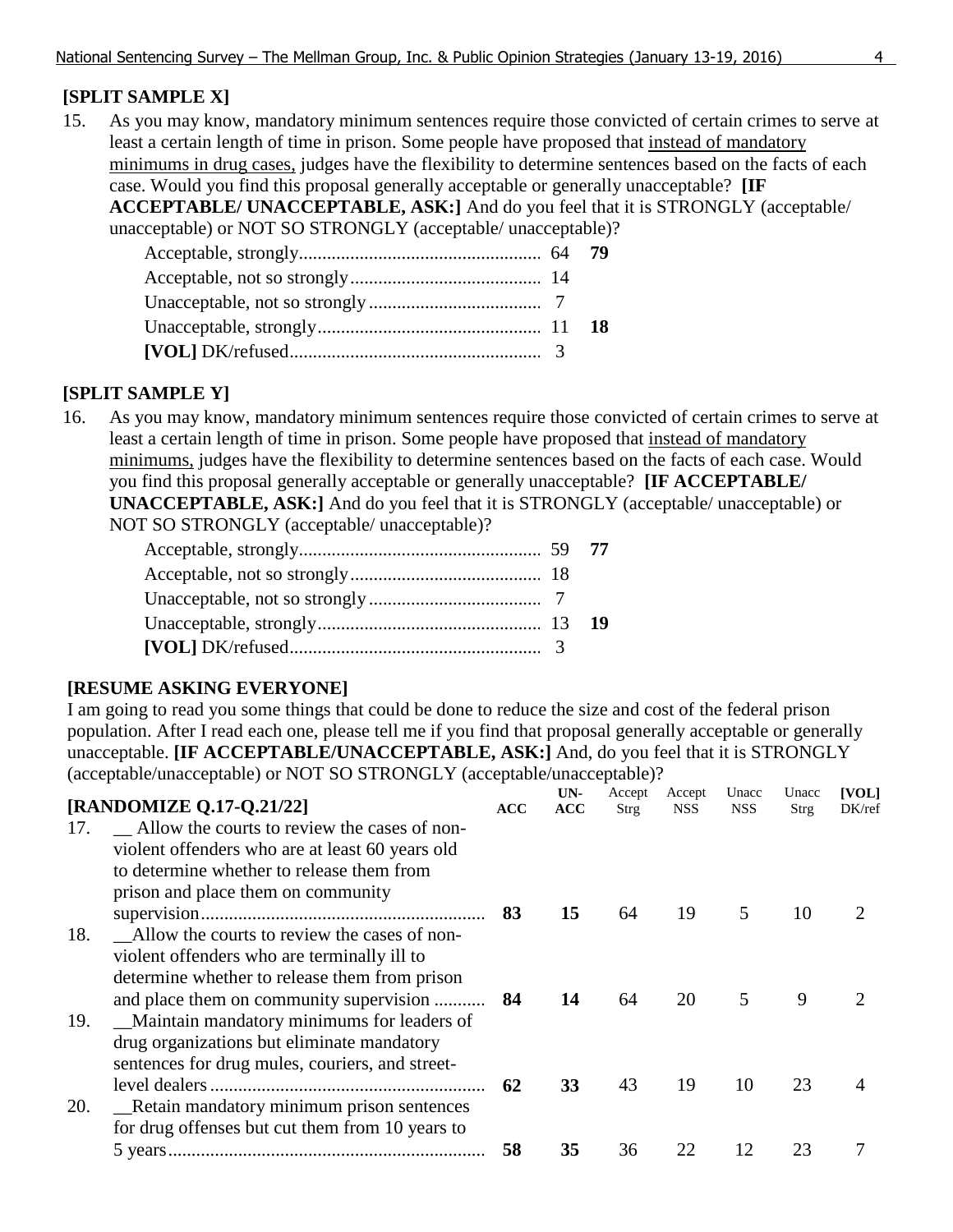# **[SPLIT SAMPLE X]**

15. As you may know, mandatory minimum sentences require those convicted of certain crimes to serve at least a certain length of time in prison. Some people have proposed that instead of mandatory minimums in drug cases, judges have the flexibility to determine sentences based on the facts of each case. Would you find this proposal generally acceptable or generally unacceptable? **[IF ACCEPTABLE/ UNACCEPTABLE, ASK:]** And do you feel that it is STRONGLY (acceptable/ unacceptable) or NOT SO STRONGLY (acceptable/ unacceptable)?

# **[SPLIT SAMPLE Y]**

16. As you may know, mandatory minimum sentences require those convicted of certain crimes to serve at least a certain length of time in prison. Some people have proposed that instead of mandatory minimums, judges have the flexibility to determine sentences based on the facts of each case. Would you find this proposal generally acceptable or generally unacceptable? **[IF ACCEPTABLE/ UNACCEPTABLE, ASK:]** And do you feel that it is STRONGLY (acceptable/ unacceptable) or NOT SO STRONGLY (acceptable/ unacceptable)?

# **[RESUME ASKING EVERYONE]**

I am going to read you some things that could be done to reduce the size and cost of the federal prison population. After I read each one, please tell me if you find that proposal generally acceptable or generally unacceptable. **[IF ACCEPTABLE/UNACCEPTABLE, ASK:]** And, do you feel that it is STRONGLY (acceptable/unacceptable) or NOT SO STRONGLY (acceptable/unacceptable)?

|     | [RANDOMIZE Q.17-Q.21/22]                                                                                                                                                                                                             | ACC | UN-<br><b>ACC</b> | Accept<br>Strg | Accept<br><b>NSS</b> | Unacc<br><b>NSS</b> | Unacc<br>Strg | [VOL]<br>DK/ref |
|-----|--------------------------------------------------------------------------------------------------------------------------------------------------------------------------------------------------------------------------------------|-----|-------------------|----------------|----------------------|---------------------|---------------|-----------------|
| 17. | Allow the courts to review the cases of non-<br>violent offenders who are at least 60 years old<br>to determine whether to release them from                                                                                         |     |                   |                |                      |                     |               |                 |
| 18. | prison and place them on community<br>Allow the courts to review the cases of non-                                                                                                                                                   | 83  | 15                | 64             | 19                   | 5                   | 10            |                 |
| 19. | violent offenders who are terminally ill to<br>determine whether to release them from prison<br>and place them on community supervision<br>_Maintain mandatory minimums for leaders of<br>drug organizations but eliminate mandatory | 84  | 14                | 64             | 20                   | 5                   | 9             |                 |
| 20. | sentences for drug mules, couriers, and street-<br>_Retain mandatory minimum prison sentences                                                                                                                                        | 62  | 33                | 43             | 19                   | 10                  | 23            |                 |
|     | for drug offenses but cut them from 10 years to                                                                                                                                                                                      | 58  | 35                | 36             | 22                   | 12                  | 23            |                 |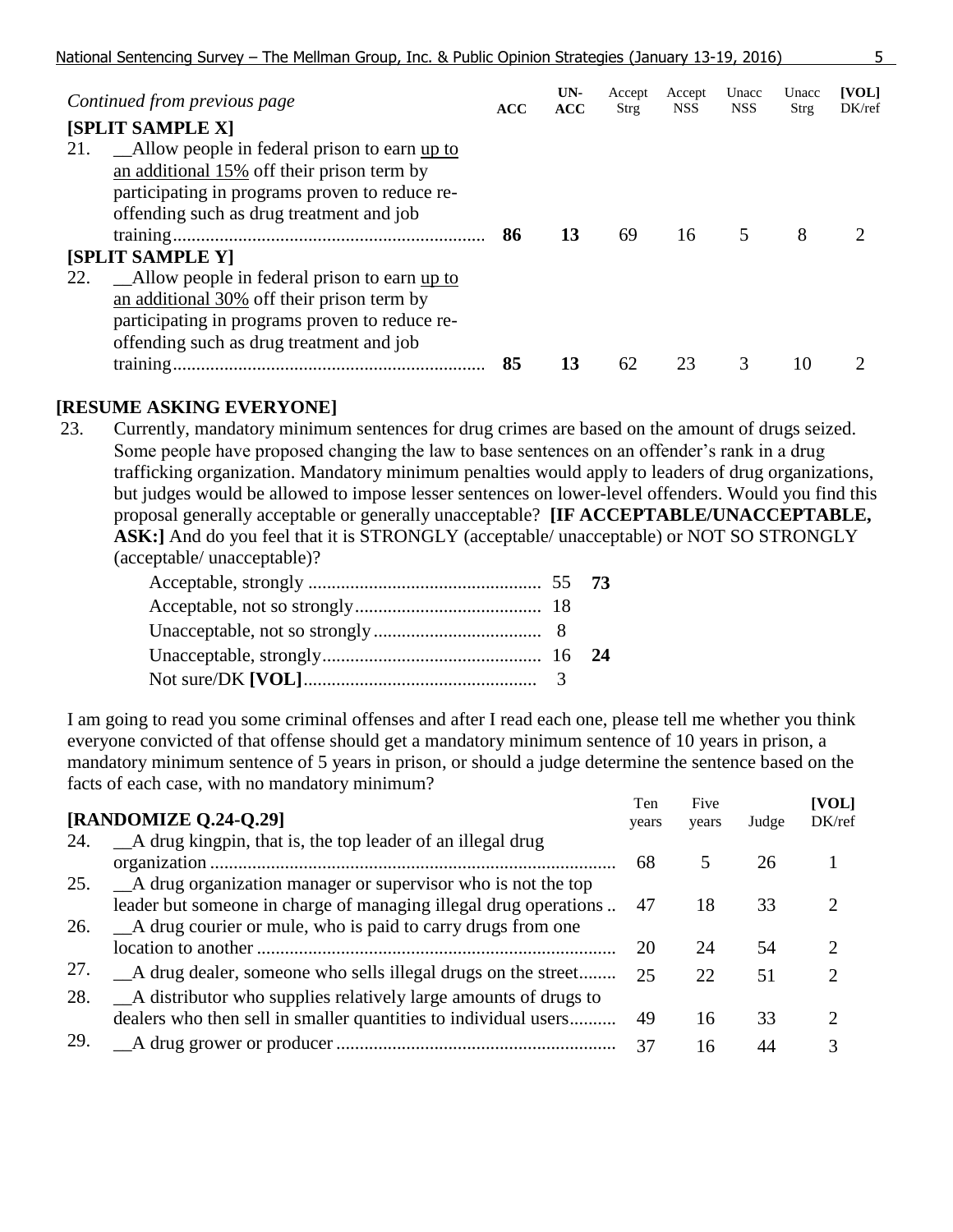|     | Continued from previous page                   | <b>ACC</b> | UN-<br><b>ACC</b> | Accept<br>Strg | Accept<br><b>NSS</b> | Unacc<br><b>NSS</b> | Unacc<br>Strg | [VOL]<br>DK/ref |
|-----|------------------------------------------------|------------|-------------------|----------------|----------------------|---------------------|---------------|-----------------|
|     | [SPLIT SAMPLE X]                               |            |                   |                |                      |                     |               |                 |
| 21. | Allow people in federal prison to earn up to   |            |                   |                |                      |                     |               |                 |
|     | an additional 15% off their prison term by     |            |                   |                |                      |                     |               |                 |
|     | participating in programs proven to reduce re- |            |                   |                |                      |                     |               |                 |
|     | offending such as drug treatment and job       |            |                   |                |                      |                     |               |                 |
|     |                                                | 86         | 13                | 69             | 16                   |                     | 8             |                 |
|     | <b>[SPLIT SAMPLE Y]</b>                        |            |                   |                |                      |                     |               |                 |
| 22. | Allow people in federal prison to earn up to   |            |                   |                |                      |                     |               |                 |
|     | an additional 30% off their prison term by     |            |                   |                |                      |                     |               |                 |
|     | participating in programs proven to reduce re- |            |                   |                |                      |                     |               |                 |
|     | offending such as drug treatment and job       |            |                   |                |                      |                     |               |                 |
|     |                                                | 85         | 13                | 62             | 23                   | 3                   | 10            |                 |

## **[RESUME ASKING EVERYONE]**

23. Currently, mandatory minimum sentences for drug crimes are based on the amount of drugs seized. Some people have proposed changing the law to base sentences on an offender's rank in a drug trafficking organization. Mandatory minimum penalties would apply to leaders of drug organizations, but judges would be allowed to impose lesser sentences on lower-level offenders. Would you find this proposal generally acceptable or generally unacceptable? **[IF ACCEPTABLE/UNACCEPTABLE, ASK:]** And do you feel that it is STRONGLY (acceptable/ unacceptable) or NOT SO STRONGLY (acceptable/ unacceptable)?

I am going to read you some criminal offenses and after I read each one, please tell me whether you think everyone convicted of that offense should get a mandatory minimum sentence of 10 years in prison, a mandatory minimum sentence of 5 years in prison, or should a judge determine the sentence based on the facts of each case, with no mandatory minimum?

|     | [RANDOMIZE Q.24-Q.29]                                            | Ten<br>years | Five<br>years | Judge | [VOL]<br>DK/ref |  |
|-----|------------------------------------------------------------------|--------------|---------------|-------|-----------------|--|
| 24. | A drug kingpin, that is, the top leader of an illegal drug       |              |               |       |                 |  |
|     | 25. A drug organization manager or supervisor who is not the top | 68           |               | 26    |                 |  |
|     | leader but someone in charge of managing illegal drug operations | 47           | 18            | 33    |                 |  |
| 26. | A drug courier or mule, who is paid to carry drugs from one      | 20           | 24            | 54    | റ               |  |
| 27. | A drug dealer, someone who sells illegal drugs on the street     | 25           | 22            | 51    | 2               |  |
| 28. | A distributor who supplies relatively large amounts of drugs to  |              |               |       |                 |  |
|     | dealers who then sell in smaller quantities to individual users  | 49           | 16            | 33    | റ               |  |
| 29. |                                                                  | 37           | 16            | 44    |                 |  |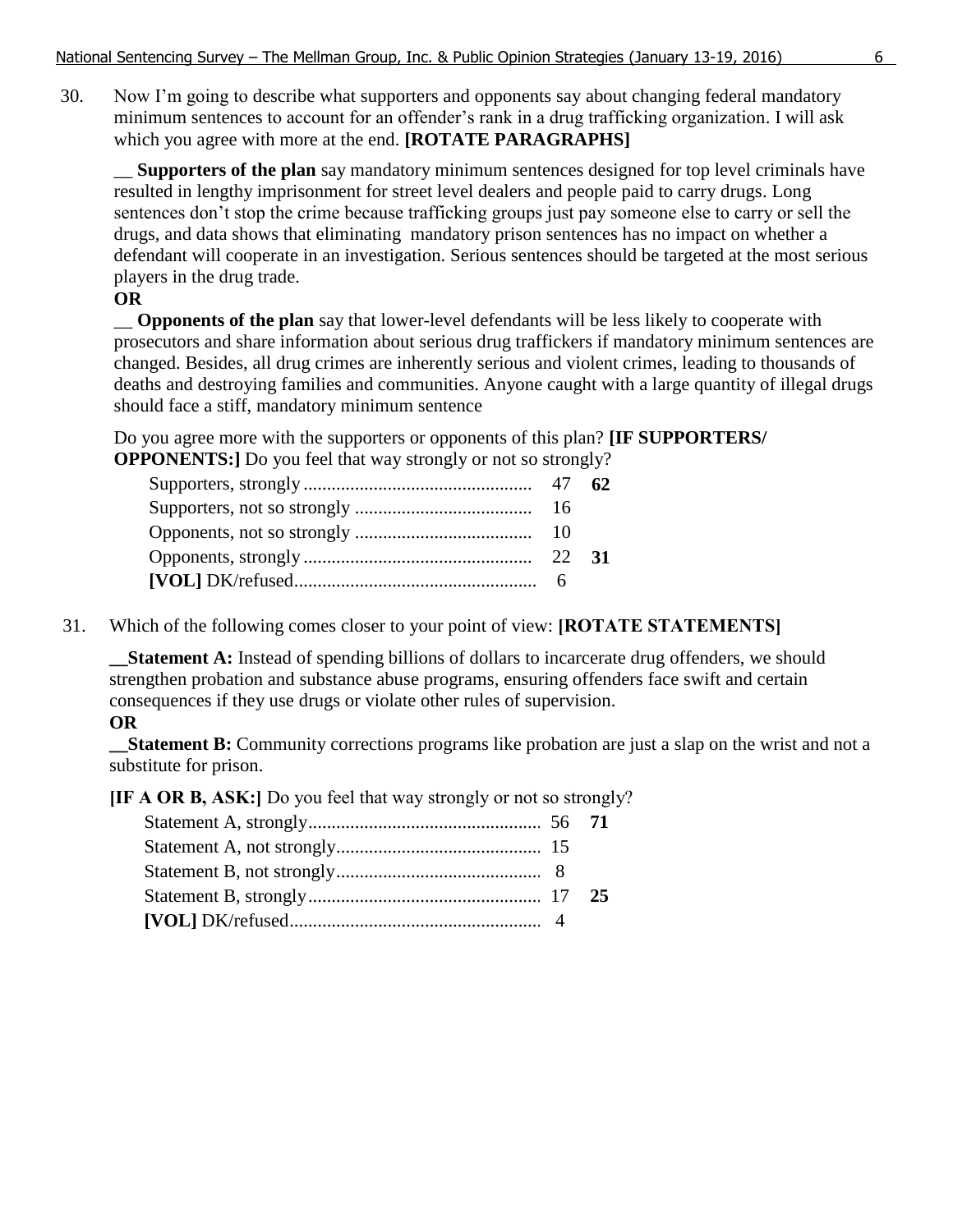30. Now I'm going to describe what supporters and opponents say about changing federal mandatory minimum sentences to account for an offender's rank in a drug trafficking organization. I will ask which you agree with more at the end. **[ROTATE PARAGRAPHS]**

\_\_ **Supporters of the plan** say mandatory minimum sentences designed for top level criminals have resulted in lengthy imprisonment for street level dealers and people paid to carry drugs. Long sentences don't stop the crime because trafficking groups just pay someone else to carry or sell the drugs, and data shows that eliminating mandatory prison sentences has no impact on whether a defendant will cooperate in an investigation. Serious sentences should be targeted at the most serious players in the drug trade.

## **OR**

\_\_ **Opponents of the plan** say that lower-level defendants will be less likely to cooperate with prosecutors and share information about serious drug traffickers if mandatory minimum sentences are changed. Besides, all drug crimes are inherently serious and violent crimes, leading to thousands of deaths and destroying families and communities. Anyone caught with a large quantity of illegal drugs should face a stiff, mandatory minimum sentence

Do you agree more with the supporters or opponents of this plan? **[IF SUPPORTERS/ OPPONENTS:** Do you feel that way strongly or not so strongly?

31. Which of the following comes closer to your point of view: **[ROTATE STATEMENTS]**

**\_\_Statement A:** Instead of spending billions of dollars to incarcerate drug offenders, we should strengthen probation and substance abuse programs, ensuring offenders face swift and certain consequences if they use drugs or violate other rules of supervision.

## **OR**

**\_\_Statement B:** Community corrections programs like probation are just a slap on the wrist and not a substitute for prison.

**[IF A OR B, ASK:]** Do you feel that way strongly or not so strongly?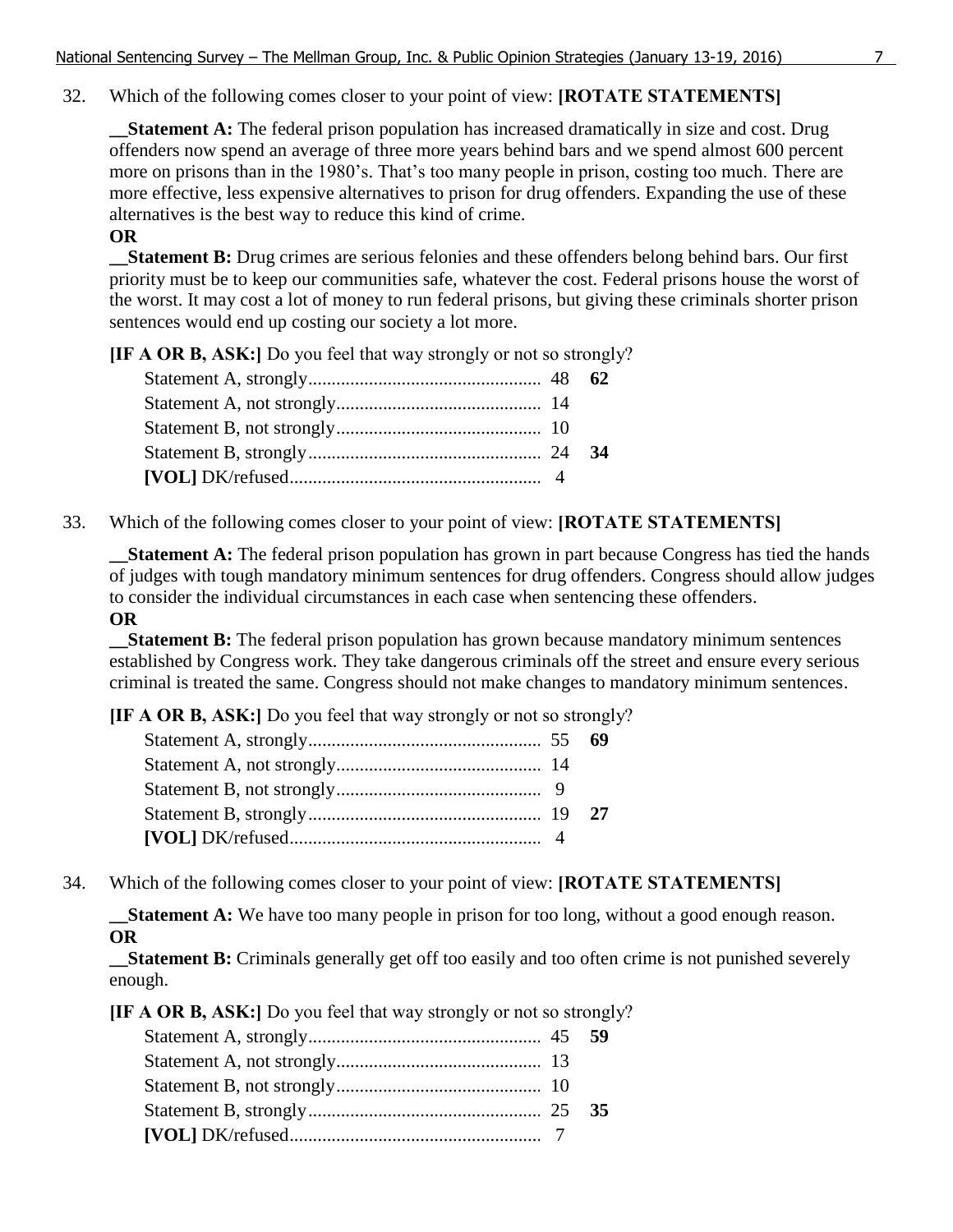32. Which of the following comes closer to your point of view: **[ROTATE STATEMENTS]**

**\_\_Statement A:** The federal prison population has increased dramatically in size and cost. Drug offenders now spend an average of three more years behind bars and we spend almost 600 percent more on prisons than in the 1980's. That's too many people in prison, costing too much. There are more effective, less expensive alternatives to prison for drug offenders. Expanding the use of these alternatives is the best way to reduce this kind of crime.

## **OR**

**Statement B:** Drug crimes are serious felonies and these offenders belong behind bars. Our first priority must be to keep our communities safe, whatever the cost. Federal prisons house the worst of the worst. It may cost a lot of money to run federal prisons, but giving these criminals shorter prison sentences would end up costing our society a lot more.

**[IF A OR B, ASK:]** Do you feel that way strongly or not so strongly?

33. Which of the following comes closer to your point of view: **[ROTATE STATEMENTS]**

**\_\_Statement A:** The federal prison population has grown in part because Congress has tied the hands of judges with tough mandatory minimum sentences for drug offenders. Congress should allow judges to consider the individual circumstances in each case when sentencing these offenders.

# **OR**

**\_\_Statement B:** The federal prison population has grown because mandatory minimum sentences established by Congress work. They take dangerous criminals off the street and ensure every serious criminal is treated the same. Congress should not make changes to mandatory minimum sentences.

**[IF A OR B, ASK:]** Do you feel that way strongly or not so strongly?

34. Which of the following comes closer to your point of view: **[ROTATE STATEMENTS]**

**\_\_Statement A:** We have too many people in prison for too long, without a good enough reason. **OR**

**\_\_Statement B:** Criminals generally get off too easily and too often crime is not punished severely enough.

**[IF A OR B, ASK:]** Do you feel that way strongly or not so strongly?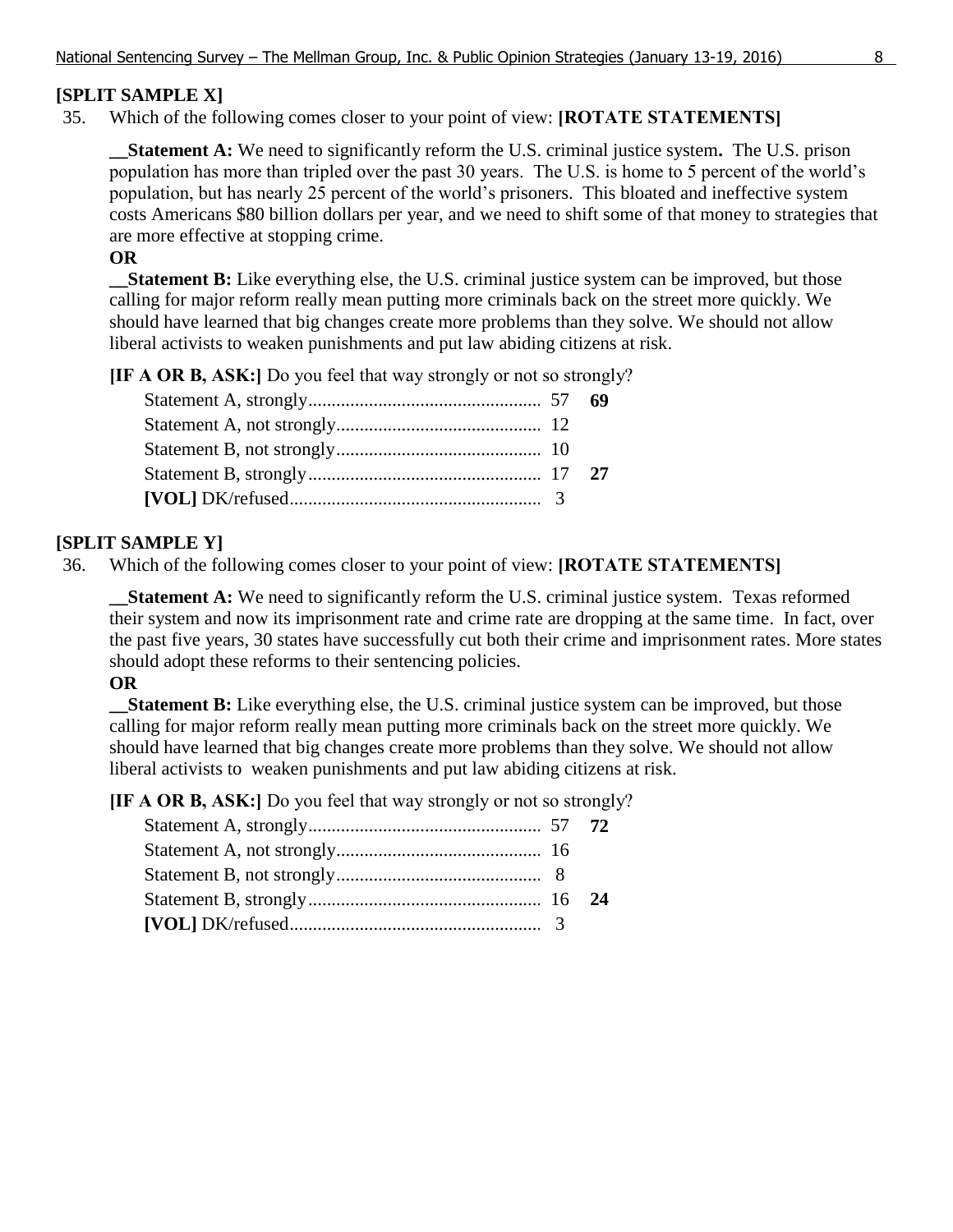# **[SPLIT SAMPLE X]**

35. Which of the following comes closer to your point of view: **[ROTATE STATEMENTS]**

**\_\_Statement A:** We need to significantly reform the U.S. criminal justice system**.** The U.S. prison population has more than tripled over the past 30 years. The U.S. is home to 5 percent of the world's population, but has nearly 25 percent of the world's prisoners. This bloated and ineffective system costs Americans \$80 billion dollars per year, and we need to shift some of that money to strategies that are more effective at stopping crime.

# **OR**

**\_\_Statement B:** Like everything else, the U.S. criminal justice system can be improved, but those calling for major reform really mean putting more criminals back on the street more quickly. We should have learned that big changes create more problems than they solve. We should not allow liberal activists to weaken punishments and put law abiding citizens at risk.

**[IF A OR B, ASK:]** Do you feel that way strongly or not so strongly?

# **[SPLIT SAMPLE Y]**

36. Which of the following comes closer to your point of view: **[ROTATE STATEMENTS]**

**\_\_Statement A:** We need to significantly reform the U.S. criminal justice system. Texas reformed their system and now its imprisonment rate and crime rate are dropping at the same time. In fact, over the past five years, 30 states have successfully cut both their crime and imprisonment rates. More states should adopt these reforms to their sentencing policies.

## **OR**

**Statement B:** Like everything else, the U.S. criminal justice system can be improved, but those calling for major reform really mean putting more criminals back on the street more quickly. We should have learned that big changes create more problems than they solve. We should not allow liberal activists to weaken punishments and put law abiding citizens at risk.

**[IF A OR B, ASK:]** Do you feel that way strongly or not so strongly?

| $[VOL] DK/refused .$ |  |
|----------------------|--|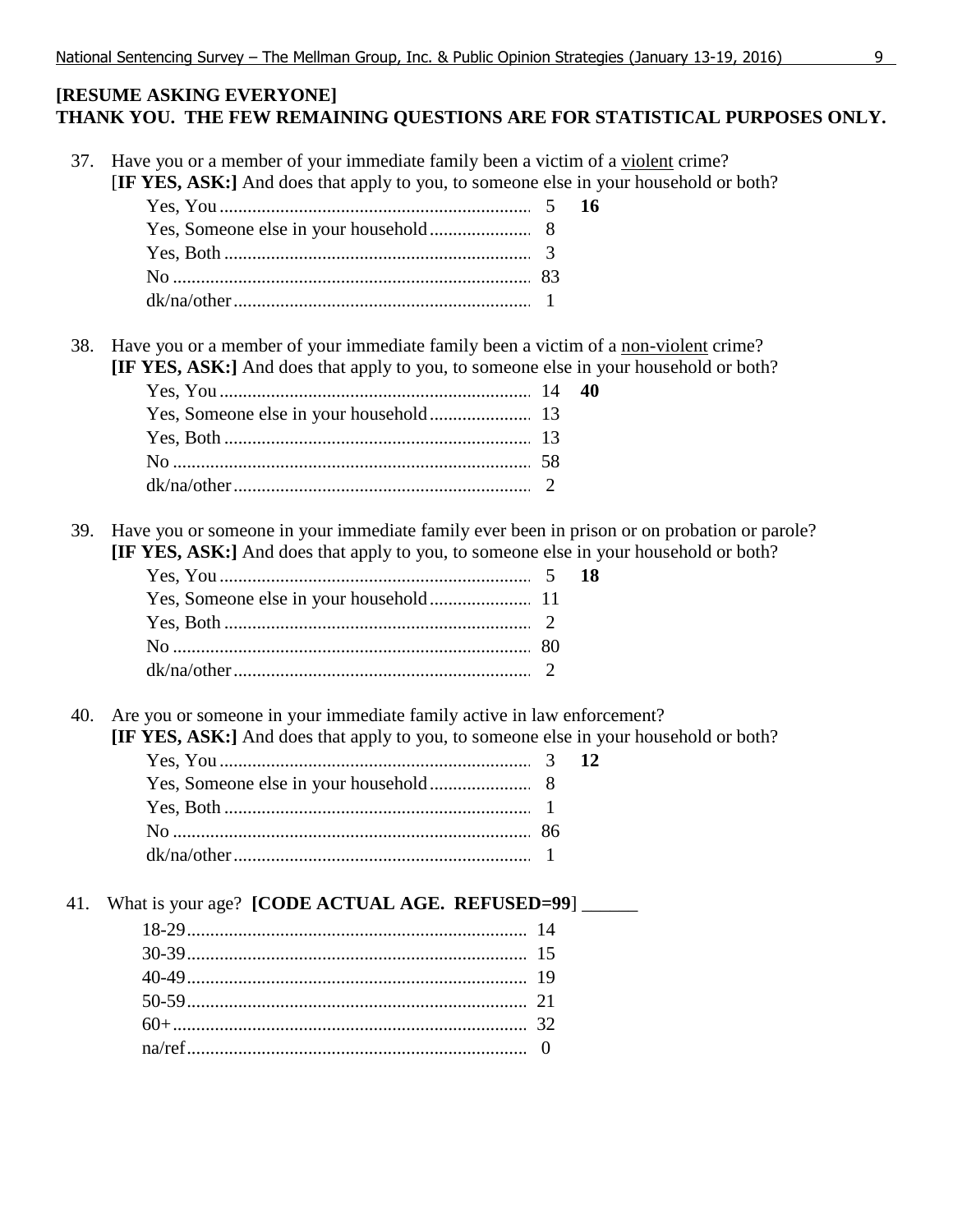# **[RESUME ASKING EVERYONE] THANK YOU. THE FEW REMAINING QUESTIONS ARE FOR STATISTICAL PURPOSES ONLY.**

37. Have you or a member of your immediate family been a victim of a violent crime? [**IF YES, ASK:]** And does that apply to you, to someone else in your household or both? Yes, You ........................................................................5 **16** Yes, Someone else in your household...........................8 Yes, Both .......................................................................3 No .................................................................................. 83 dk/na/other.....................................................................1 38. Have you or a member of your immediate family been a victim of a non-violent crime? **[IF YES, ASK:]** And does that apply to you, to someone else in your household or both? Yes, You ........................................................................ 14 **40** Yes, Someone else in your household........................... 13 Yes, Both ....................................................................... 13 No .................................................................................. 58 dk/na/other.....................................................................2 39. Have you or someone in your immediate family ever been in prison or on probation or parole? **[IF YES, ASK:]** And does that apply to you, to someone else in your household or both? Yes, You ........................................................................5 **18** Yes, Someone else in your household........................... 11 Yes, Both .......................................................................2 No .................................................................................. 80 dk/na/other.....................................................................2 40. Are you or someone in your immediate family active in law enforcement? **[IF YES, ASK:]** And does that apply to you, to someone else in your household or both? Yes, You ........................................................................3 **12** Yes, Someone else in your household...........................8 Yes, Both .......................................................................1 No .................................................................................. 86 dk/na/other.....................................................................1 41. What is your age? **[CODE ACTUAL AGE. REFUSED=99**] 18-29.............................................................................. 14 30-39.............................................................................. 15 40-49.............................................................................. 19 50-59.............................................................................. 21 60+................................................................................. 32 na/ref..............................................................................0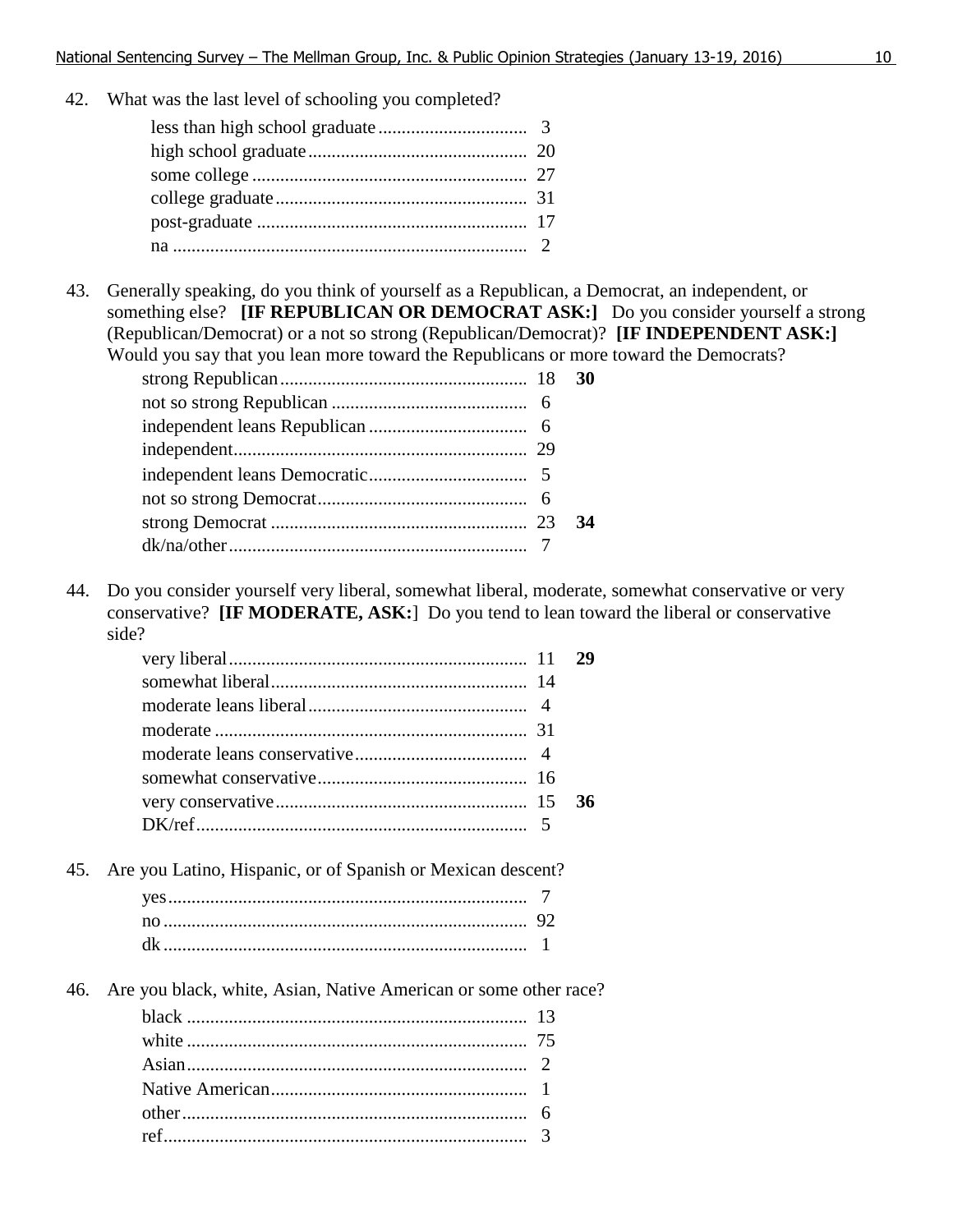42. What was the last level of schooling you completed?

43. Generally speaking, do you think of yourself as a Republican, a Democrat, an independent, or something else? **[IF REPUBLICAN OR DEMOCRAT ASK:]** Do you consider yourself a strong (Republican/Democrat) or a not so strong (Republican/Democrat)? **[IF INDEPENDENT ASK:]** Would you say that you lean more toward the Republicans or more toward the Democrats?

44. Do you consider yourself very liberal, somewhat liberal, moderate, somewhat conservative or very conservative? **[IF MODERATE, ASK:**] Do you tend to lean toward the liberal or conservative side?

|  | 29 |
|--|----|
|  |    |
|  |    |
|  |    |
|  |    |
|  |    |
|  | 36 |
|  |    |
|  |    |

45. Are you Latino, Hispanic, or of Spanish or Mexican descent?

46. Are you black, white, Asian, Native American or some other race?